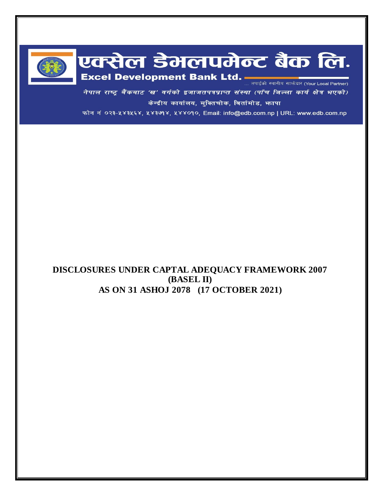

# एक्सेल डेमलपमेन्ट बैंक लि. Excel Development Bank Ltd.

नेपाल राष्ट्र बैंकबाट 'ख' वर्गको इजाजतपत्रप्राप्त संस्था (पाँच जिल्ला कार्य क्षेत्र भएको) केन्द्रीय कार्यालय, मुक्तिचोक, बिर्तामोड, भापा

फोन नं ०२३-५४३५६४, ५४३७१४, ५४४०१०, Email: info@edb.com.np | URL: www.edb.com.np

# **DISCLOSURES UNDER CAPTAL ADEQUACY FRAMEWORK 2007 (BASEL II) AS ON 31 ASHOJ 2078 (17 OCTOBER 2021)**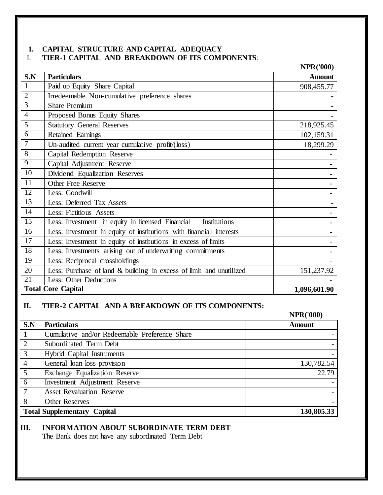#### **1. CAPITAL STRUCTURE AND CAPITAL ADEQUACY** I. **TIER-1 CAPITAL AND BREAKDOWN OF ITS COMPONENTS**:

|                  |                                                                     | <b>NPR('000)</b> |
|------------------|---------------------------------------------------------------------|------------------|
| S.N              | <b>Particulars</b>                                                  | <b>Amount</b>    |
| $\mathbf{1}$     | Paid up Equity Share Capital                                        | 908,455.77       |
| $\overline{2}$   | Irredeemable Non-cumulative preference shares                       |                  |
| 3                | <b>Share Premium</b>                                                |                  |
| $\overline{4}$   | Proposed Bonus Equity Shares                                        |                  |
| 5                | <b>Statutory General Reserves</b>                                   | 218,925.45       |
| 6                | Retained Earnings                                                   | 102,159.31       |
| $\boldsymbol{7}$ | Un-audited current year cumulative profit/(loss)                    | 18,299.29        |
| $8\,$            | Capital Redemption Reserve                                          |                  |
| $\overline{9}$   | Capital Adjustment Reserve                                          |                  |
| 10               | Dividend Equalization Reserves                                      |                  |
| 11               | <b>Other Free Reserve</b>                                           |                  |
| 12               | Less: Goodwill                                                      |                  |
| 13               | Less: Deferred Tax Assets                                           |                  |
| 14               | Less: Fictitious Assets                                             |                  |
| 15               | Less: Investment in equity in licensed Financial<br>Institutions    |                  |
| 16               | Less: Investment in equity of institutions with financial interests |                  |
| 17               | Less: Investment in equity of institutions in excess of limits      |                  |
| 18               | Less: Investments arising out of underwriting commitments           |                  |
| 19               | Less: Reciprocal crossholdings                                      |                  |
| 20               | Less: Purchase of land & building in excess of limit and unutilized | 151,237.92       |
| 21               | Less: Other Deductions                                              |                  |
|                  | <b>Total Core Capital</b>                                           | 1,096,601.90     |

#### **II. TIER-2 CAPITAL AND A BREAKDOWN OF ITS COMPONENTS:**

# **NPR('000) S.N Particulars** Amount 1 | Cumulative and/or Redeemable Preference Share 2 Subordinated Term Debt 3 Hybrid Capital Instruments - 4 General loan loss provision 130,782.54 5 Exchange Equalization Reserve 22.79 6 Investment Adjustment Reserve 7 Asset Revaluation Reserve - 8 Other Reserves **Total Supplementary Capital 130,805.33**

#### **III. INFORMATION ABOUT SUBORDINATE TERM DEBT**

The Bank does not have any subordinated Term Debt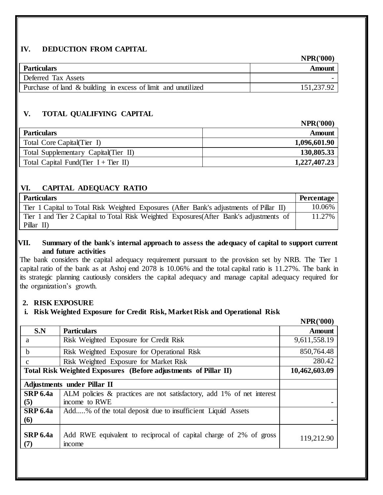#### **IV. DEDUCTION FROM CAPITAL**

|                                                               | <b>NPR('000)</b> |
|---------------------------------------------------------------|------------------|
| <b>Particulars</b>                                            | Amount           |
| Deferred Tax Assets                                           |                  |
| Purchase of land & building in excess of limit and unutilized | 151,237.92       |

# **V. TOTAL QUALIFYING CAPITAL**

|                                         | NPR(TOOO)    |
|-----------------------------------------|--------------|
| <b>Particulars</b>                      | Amount       |
| Total Core Capital (Tier I)             | 1,096,601.90 |
| Total Supplementary Capital (Tier II)   | 130,805.33   |
| Total Capital Fund(Tier $I + Tier II$ ) | 1,227,407.23 |

**NIDD**(1000)

#### **VI. CAPITAL ADEQUACY RATIO**

| <b>Particulars</b>                                                                                    | <b>Percentage</b> |
|-------------------------------------------------------------------------------------------------------|-------------------|
| Tier 1 Capital to Total Risk Weighted Exposures (After Bank's adjustments of Pillar II)               | $10.06\%$         |
| Tier 1 and Tier 2 Capital to Total Risk Weighted Exposures (After Bank's adjustments of<br>Pillar II) | 11.27%            |

#### **VII. Summary of the bank's internal approach to assess the adequacy of capital to support current and future activities**

The bank considers the capital adequacy requirement pursuant to the provision set by NRB. The Tier 1 capital ratio of the bank as at Ashoj end 2078 is 10.06% and the total capital ratio is 11.27%. The bank in its strategic planning cautiously considers the capital adequacy and manage capital adequacy required for the organization's growth.

#### **2. RISK EXPOSURE**

# **i. Risk Weighted Exposure for Credit Risk, Market Risk and Operational Risk**

|                        |                                                                                        | <b>NPR('000)</b> |
|------------------------|----------------------------------------------------------------------------------------|------------------|
| S.N                    | <b>Particulars</b>                                                                     | <b>Amount</b>    |
| a                      | Risk Weighted Exposure for Credit Risk                                                 | 9,611,558.19     |
| $\mathbf b$            | Risk Weighted Exposure for Operational Risk                                            | 850,764.48       |
| $\mathbf{C}$           | Risk Weighted Exposure for Market Risk                                                 | 280.42           |
|                        | Total Risk Weighted Exposures (Before adjustments of Pillar II)                        | 10,462,603.09    |
|                        | <b>Adjustments under Pillar II</b>                                                     |                  |
| <b>SRP 6.4a</b><br>(5) | ALM policies & practices are not satisfactory, add 1% of net interest<br>income to RWE |                  |
| <b>SRP 6.4a</b><br>(6) | Add% of the total deposit due to insufficient Liquid Assets                            |                  |
| <b>SRP 6.4a</b><br>(7) | Add RWE equivalent to reciprocal of capital charge of 2% of gross<br>income            | 119,212.90       |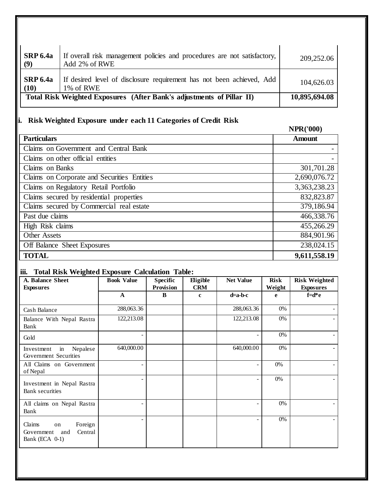| <b>SRP 6.4a</b><br>(9)  | If overall risk management policies and procedures are not satisfactory,<br>Add 2% of RWE | 209,252.06    |
|-------------------------|-------------------------------------------------------------------------------------------|---------------|
| <b>SRP 6.4a</b><br>(10) | If desired level of disclosure requirement has not been achieved, Add<br>1\% of RWE       | 104,626.03    |
|                         | Total Risk Weighted Exposures (After Bank's adjustments of Pillar II)                     | 10,895,694.08 |

# **ii. Risk Weighted Exposure under each 11 Categories of Credit Risk**

# **NPR('000)**

| <b>Particulars</b>                          | <b>Amount</b> |  |  |
|---------------------------------------------|---------------|--|--|
| Claims on Government and Central Bank       |               |  |  |
| Claims on other official entities           |               |  |  |
| Claims on Banks                             | 301,701.28    |  |  |
| Claims on Corporate and Securities Entities | 2,690,076.72  |  |  |
| Claims on Regulatory Retail Portfolio       | 3,363,238.23  |  |  |
| Claims secured by residential properties    | 832,823.87    |  |  |
| Claims secured by Commercial real estate    | 379,186.94    |  |  |
| Past due claims                             | 466,338.76    |  |  |
| High Risk claims                            | 455,266.29    |  |  |
| <b>Other Assets</b>                         | 884,901.96    |  |  |
| 238,024.15<br>Off Balance Sheet Exposures   |               |  |  |
| <b>TOTAL</b>                                | 9,611,558.19  |  |  |

# **iii. Total Risk Weighted Exposure Calculation Table:**

| A. Balance Sheet<br><b>Exposures</b>                                      | <b>Book Value</b> | <b>Specific</b><br>Provision | Eligible<br><b>CRM</b> | <b>Net Value</b> | <b>Risk</b><br>Weight | <b>Risk Weighted</b><br><b>Exposures</b> |
|---------------------------------------------------------------------------|-------------------|------------------------------|------------------------|------------------|-----------------------|------------------------------------------|
|                                                                           | $\mathbf{A}$      | B                            | $\mathbf c$            | $d=a-b-c$        | e                     | $f = d * e$                              |
| Cash Balance                                                              | 288,063.36        |                              |                        | 288,063.36       | 0%                    |                                          |
| Balance With Nepal Rastra<br>Bank                                         | 122,213.08        |                              |                        | 122,213.08       | 0%                    |                                          |
| Gold                                                                      |                   |                              |                        |                  | 0%                    |                                          |
| Nepalese<br>Investment<br>in<br>Government Securities                     | 640,000.00        |                              |                        | 640,000.00       | 0%                    |                                          |
| All Claims on Government<br>of Nepal                                      |                   |                              |                        | ۰                | $0\%$                 |                                          |
| Investment in Nepal Rastra<br><b>Bank</b> securities                      |                   |                              |                        |                  | 0%                    |                                          |
| All claims on Nepal Rastra<br>Bank                                        |                   |                              |                        |                  | 0%                    |                                          |
| Claims<br>Foreign<br>on<br>Central<br>Government<br>and<br>Bank (ECA 0-1) |                   |                              |                        | ÷.               | 0%                    | $\overline{\phantom{0}}$                 |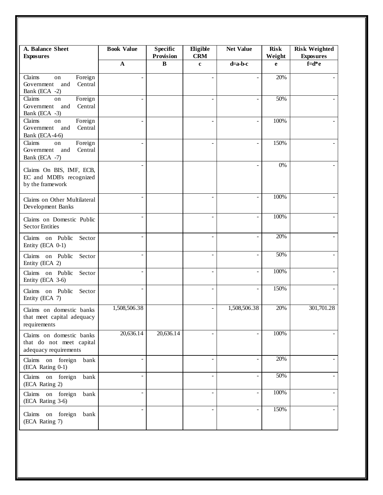| A. Balance Sheet<br><b>Exposures</b>                                          | <b>Book Value</b> | <b>Specific</b><br>Provision | Eligible<br><b>CRM</b> | <b>Net Value</b> | <b>Risk</b><br>Weight | <b>Risk Weighted</b><br><b>Exposures</b> |
|-------------------------------------------------------------------------------|-------------------|------------------------------|------------------------|------------------|-----------------------|------------------------------------------|
|                                                                               | $\mathbf{A}$      | $\bf{B}$                     | $\mathbf c$            | $d=a-b-c$        | e                     | $f = d * e$                              |
| Claims<br>Foreign<br>on<br>Government<br>and<br>Central<br>Bank (ECA -2)      |                   |                              |                        |                  | 20%                   |                                          |
| Claims<br>Foreign<br>on<br>Government and<br>Central<br>Bank (ECA -3)         |                   |                              |                        |                  | 50%                   |                                          |
| Claims<br>Foreign<br>on<br>Government<br>and<br>Central<br>Bank (ECA-4-6)     |                   |                              |                        |                  | 100%                  |                                          |
| Foreign<br>Claims<br>on<br>Central<br>Government<br>and<br>Bank (ECA -7)      |                   |                              |                        |                  | 150%                  |                                          |
| Claims On BIS, IMF, ECB,<br>EC and MDB's recognized<br>by the framework       |                   |                              |                        |                  | 0%                    |                                          |
| Claims on Other Multilateral<br>Development Banks                             |                   |                              |                        |                  | 100%                  |                                          |
| Claims on Domestic Public<br><b>Sector Entities</b>                           |                   |                              |                        |                  | 100%                  |                                          |
| Claims on Public<br>Sector<br>Entity (ECA 0-1)                                |                   |                              |                        | ÷,               | 20%                   |                                          |
| Claims on Public<br>Sector<br>Entity (ECA 2)                                  |                   |                              |                        |                  | 50%                   |                                          |
| Claims on Public<br>Sector<br>Entity (ECA 3-6)                                |                   |                              |                        |                  | 100%                  |                                          |
| Claims on Public Sector<br>Entity (ECA 7)                                     |                   |                              |                        |                  | 150%                  |                                          |
| Claims on domestic banks<br>that meet capital adequacy<br>requirements        | 1,508,506.38      |                              |                        | 1,508,506.38     | 20%                   | 301,701.28                               |
| Claims on domestic banks<br>that do not meet capital<br>adequacy requirements | 20,636.14         | 20,636.14                    |                        |                  | 100%                  |                                          |
| Claims on foreign<br>bank<br>(ECA Rating 0-1)                                 |                   |                              |                        |                  | 20%                   |                                          |
| Claims on foreign<br>bank<br>(ECA Rating 2)                                   |                   |                              | ä,                     |                  | 50%                   |                                          |
| Claims on foreign<br>bank<br>(ECA Rating 3-6)                                 |                   |                              |                        |                  | 100%                  |                                          |
| Claims on foreign<br>bank<br>(ECA Rating 7)                                   |                   |                              |                        |                  | 150%                  |                                          |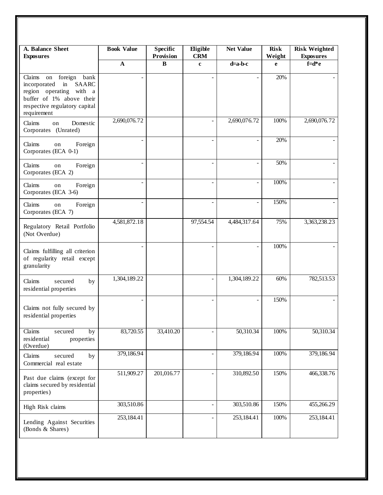| A. Balance Sheet<br><b>Exposures</b>                                                                                                                                         | <b>Book Value</b> | <b>Specific</b><br>Provision | <b>Eligible</b><br><b>CRM</b> | <b>Net Value</b> | <b>Risk</b><br>Weight | <b>Risk Weighted</b><br><b>Exposures</b> |
|------------------------------------------------------------------------------------------------------------------------------------------------------------------------------|-------------------|------------------------------|-------------------------------|------------------|-----------------------|------------------------------------------|
|                                                                                                                                                                              | $\mathbf A$       | $\bf{B}$                     | $\mathbf c$                   | $d=a-b-c$        | e                     | $f = d * e$                              |
| foreign<br>bank<br>Claims<br>on<br>incorporated<br>in<br><b>SAARC</b><br>region operating with a<br>buffer of 1% above their<br>respective regulatory capital<br>requirement |                   |                              |                               |                  | 20%                   |                                          |
| Claims<br>Domestic<br>on<br>Corporates (Unrated)                                                                                                                             | 2,690,076.72      |                              |                               | 2,690,076.72     | 100%                  | 2,690,076.72                             |
| Claims<br>Foreign<br>on<br>Corporates (ECA 0-1)                                                                                                                              | ÷                 |                              |                               |                  | 20%                   |                                          |
| Claims<br>Foreign<br>on<br>Corporates (ECA 2)                                                                                                                                |                   |                              |                               |                  | 50%                   |                                          |
| Claims<br>Foreign<br>on<br>Corporates (ECA 3-6)                                                                                                                              |                   |                              |                               |                  | 100%                  |                                          |
| Claims<br>Foreign<br>on<br>Corporates (ECA 7)                                                                                                                                |                   |                              |                               |                  | 150%                  |                                          |
| Regulatory Retail Portfolio<br>(Not Overdue)                                                                                                                                 | 4,581,872.18      |                              | 97,554.54                     | 4,484,317.64     | 75%                   | 3,363,238.23                             |
| Claims fulfilling all criterion<br>of regularity retail except<br>granularity                                                                                                |                   |                              |                               |                  | 100%                  |                                          |
| Claims<br>secured<br>by<br>residential properties                                                                                                                            | 1,304,189.22      |                              | $\blacksquare$                | 1,304,189.22     | 60%                   | 782,513.53                               |
| Claims not fully secured by<br>residential properties                                                                                                                        |                   |                              |                               |                  | 150%                  |                                          |
| Claims<br>secured<br>by<br>residential<br>properties<br>(Overdue)                                                                                                            | 83,720.55         | 33,410.20                    |                               | 50,310.34        | 100%                  | 50,310.34                                |
| Claims<br>secured<br>by<br>Commercial real estate                                                                                                                            | 379,186.94        |                              | $\overline{\phantom{a}}$      | 379,186.94       | 100%                  | 379,186.94                               |
| Past due claims (except for<br>claims secured by residential<br>properties)                                                                                                  | 511,909.27        | 201,016.77                   |                               | 310,892.50       | 150%                  | 466,338.76                               |
| High Risk claims                                                                                                                                                             | 303,510.86        |                              | $\overline{\phantom{a}}$      | 303,510.86       | 150%                  | 455,266.29                               |
| Lending Against Securities<br>(Bonds & Shares)                                                                                                                               | 253,184.41        |                              |                               | 253,184.41       | 100%                  | 253,184.41                               |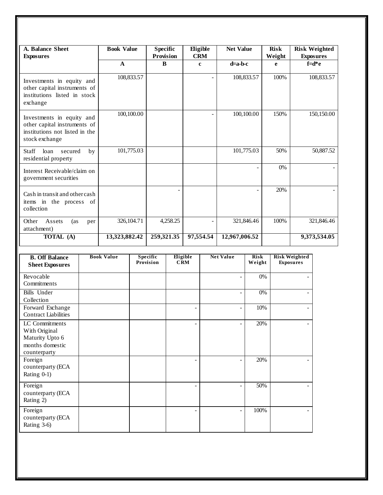| A. Balance Sheet<br><b>Exposures</b>                                                                          |     | <b>Book Value</b> |            | <b>Specific</b><br>Provision |          |                          | Eligible<br><b>CRM</b>   | <b>Net Value</b>         |                       | <b>Risk</b><br>Weight |                                          | <b>Risk Weighted</b><br><b>Exposures</b> |
|---------------------------------------------------------------------------------------------------------------|-----|-------------------|------------|------------------------------|----------|--------------------------|--------------------------|--------------------------|-----------------------|-----------------------|------------------------------------------|------------------------------------------|
|                                                                                                               |     | $\mathbf{A}$      |            | B                            |          |                          | $\mathbf{c}$             | $d=a-b-c$                |                       | e                     |                                          | $f = d * e$                              |
| Investments in equity and<br>other capital instruments of<br>institutions listed in stock<br>exchange         |     |                   | 108,833.57 |                              |          |                          |                          |                          | 108,833.57            | 100%                  |                                          | 108,833.57                               |
| Investments in equity and<br>other capital instruments of<br>institutions not listed in the<br>stock exchange |     |                   | 100,100.00 |                              |          |                          |                          |                          | 100,100.00            | 150%                  |                                          | 150,150.00                               |
| Staff<br>loan<br>secured<br>residential property                                                              | by  |                   | 101,775.03 |                              |          |                          |                          |                          | 101,775.03            | 50%                   |                                          | 50,887.52                                |
| Interest Receivable/claim on<br>government securities                                                         |     |                   |            |                              |          |                          |                          |                          |                       | 0%                    |                                          |                                          |
| Cash in transit and other cash<br>items in the process of<br>collection                                       |     |                   |            |                              |          |                          |                          |                          |                       | 20%                   |                                          |                                          |
| Other<br>Assets<br>(as<br>attachment)                                                                         | per |                   | 326,104.71 |                              | 4,258.25 |                          | $\overline{\phantom{0}}$ |                          | 321,846.46            | 100%                  |                                          | 321,846.46                               |
| TOTAL (A)                                                                                                     |     | 13,323,882.42     |            | 259,321.35                   |          |                          | 97,554.54                | 12,967,006.52            |                       |                       |                                          | 9,373,534.05                             |
| <b>B. Off Balance</b><br><b>Sheet Exposures</b>                                                               |     | <b>Book Value</b> |            | Specific<br>Provision        |          | Eligible<br><b>CRM</b>   |                          | <b>Net Value</b>         | <b>Risk</b><br>Weight |                       | <b>Risk Weighted</b><br><b>Exposures</b> |                                          |
| Revocable<br>Commitments                                                                                      |     |                   |            |                              |          |                          |                          | $\overline{\phantom{m}}$ | 0%                    |                       |                                          |                                          |
| <b>Bills</b> Under<br>Collection                                                                              |     |                   |            |                              |          |                          |                          | $\frac{1}{2}$            | $0\%$                 |                       | $\overline{a}$                           |                                          |
| Forward Exchange<br><b>Contract Liabilities</b>                                                               |     |                   |            |                              |          | $\overline{\phantom{a}}$ |                          | $\overline{\phantom{m}}$ | 10%                   |                       | $\overline{a}$                           |                                          |
| LC Commitments<br>With Original<br>Maturity Upto 6<br>months domestic<br>counterparty                         |     |                   |            |                              |          |                          |                          | $\overline{\phantom{a}}$ | 20%                   |                       |                                          |                                          |
| Foreign<br>counterparty (ECA<br>Rating 0-1)                                                                   |     |                   |            |                              |          | $\overline{a}$           |                          | $\frac{1}{2}$            | 20%                   |                       |                                          |                                          |
| Foreign<br>counterparty (ECA<br>Rating 2)                                                                     |     |                   |            |                              |          | $\blacksquare$           |                          | $\overline{a}$           | $\frac{1}{50\%}$      |                       |                                          |                                          |
| Foreign<br>counterparty (ECA<br>Rating 3-6)                                                                   |     |                   |            |                              |          |                          |                          | $\overline{a}$           | 100%                  |                       |                                          |                                          |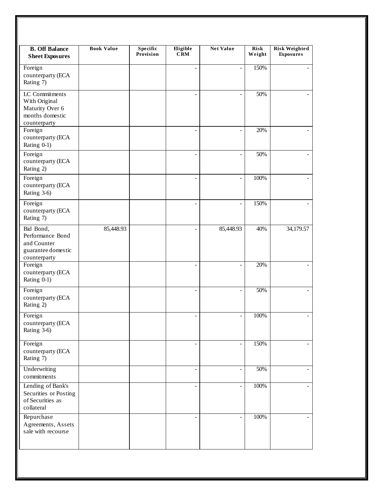| <b>B. Off Balance</b><br><b>Sheet Exposures</b>                                       | <b>Book Value</b> | Specific<br>Provision | Eligible<br>CRM          | <b>Net Value</b>         | <b>Risk</b><br>Weight | <b>Risk Weighted</b><br><b>Exposures</b> |
|---------------------------------------------------------------------------------------|-------------------|-----------------------|--------------------------|--------------------------|-----------------------|------------------------------------------|
| Foreign<br>counterparty (ECA<br>Rating 7)                                             |                   |                       |                          | $\overline{\phantom{m}}$ | 150%                  |                                          |
| LC Commitments<br>With Original<br>Maturity Over 6<br>months domestic<br>counterparty |                   |                       |                          | $\overline{a}$           | 50%                   |                                          |
| Foreign<br>counterparty (ECA<br>Rating 0-1)                                           |                   |                       |                          | $\overline{a}$           | 20%                   |                                          |
| Foreign<br>counterparty (ECA<br>Rating 2)                                             |                   |                       |                          | $\overline{a}$           | 50%                   |                                          |
| Foreign<br>counterparty (ECA<br>Rating 3-6)                                           |                   |                       |                          | $\overline{a}$           | 100%                  |                                          |
| Foreign<br>counterparty (ECA<br>Rating 7)                                             |                   |                       |                          | $\overline{a}$           | 150%                  |                                          |
| Bid Bond,<br>Performance Bond<br>and Counter<br>guarantee domestic<br>counterparty    | 85,448.93         |                       |                          | 85,448.93                | 40%                   | 34,179.57                                |
| Foreign<br>counterparty (ECA<br>Rating 0-1)                                           |                   |                       |                          | $\overline{a}$           | 20%                   |                                          |
| Foreign<br>counterparty (ECA<br>Rating 2)                                             |                   |                       |                          | $\overline{\phantom{0}}$ | 50%                   |                                          |
| Foreign<br>counterparty (ECA<br>Rating 3-6)                                           |                   |                       | $\overline{\phantom{a}}$ | $\overline{\phantom{a}}$ | 100%                  |                                          |
| Foreign<br>counterparty (ECA<br>Rating 7)                                             |                   |                       |                          | ÷,                       | 150%                  |                                          |
| Underwriting<br>commitments                                                           |                   |                       | $\overline{a}$           | $\overline{a}$           | 50%                   |                                          |
| Lending of Bank's<br>Securities or Posting<br>of Securities as<br>collateral          |                   |                       |                          | $\overline{a}$           | 100%                  |                                          |
| Repurchase<br>Agreements, Assets<br>sale with recourse                                |                   |                       |                          | $\overline{a}$           | 100%                  |                                          |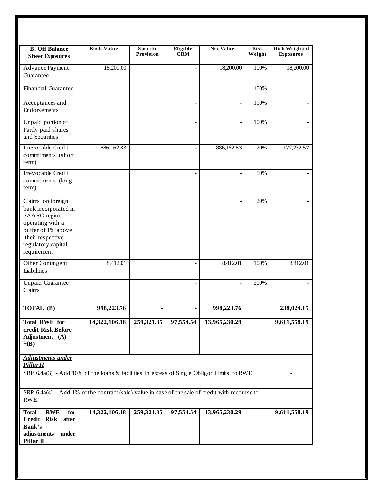| <b>B. Off Balance</b><br><b>Sheet Exposures</b>                                                                                                              | <b>Book Value</b> | Specific<br>Provision | Eligible<br><b>CRM</b> | <b>Net Value</b>         | <b>Risk</b><br>Weight | <b>Risk Weighted</b><br><b>Exposures</b> |
|--------------------------------------------------------------------------------------------------------------------------------------------------------------|-------------------|-----------------------|------------------------|--------------------------|-----------------------|------------------------------------------|
| Advance Payment<br>Guarantee                                                                                                                                 | 18,200.00         |                       |                        | 18,200.00                | 100%                  | 18,200.00                                |
| <b>Financial Guarantee</b>                                                                                                                                   |                   |                       | $\overline{a}$         | $\overline{\phantom{a}}$ | 100%                  |                                          |
| Acceptances and<br>Endorsements                                                                                                                              |                   |                       |                        | $\overline{a}$           | 100%                  |                                          |
| Unpaid portion of<br>Partly paid shares<br>and Securities                                                                                                    |                   |                       |                        | $\overline{a}$           | 100%                  |                                          |
| Irrevocable Credit<br>commitments (short<br>term)                                                                                                            | 886,162.83        |                       |                        | 886,162.83               | 20%                   | 177,232.57                               |
| <b>Irrevocable Credit</b><br>commitments (long<br>term)                                                                                                      |                   |                       |                        |                          | 50%                   |                                          |
| Claims on foreign<br>bank incorporated in<br>SAARC region<br>operating with a<br>buffer of 1% above<br>their respective<br>regulatory capital<br>requirement |                   |                       |                        |                          | 20%                   |                                          |
| Other Contingent<br>Liabilities                                                                                                                              | 8,412.01          |                       |                        | 8,412.01                 | 100%                  | 8,412.01                                 |
| <b>Unpaid Guarantee</b><br>Claims                                                                                                                            |                   |                       |                        |                          | 200%                  |                                          |
| TOTAL (B)                                                                                                                                                    | 998,223.76        | $\blacksquare$        |                        | 998,223.76               |                       | 238,024.15                               |
| <b>Total RWE for</b><br>credit Risk Before<br>Adjustment (A)<br>$+(B)$                                                                                       | 14,322,106.18     | 259,321.35            | 97,554.54              | 13,965,230.29            |                       | 9,611,558.19                             |
| <b>Adjustments under</b><br>Pillar II                                                                                                                        |                   |                       |                        |                          |                       |                                          |
| SRP 6.4a(3) - Add 10% of the loans & facilities in excess of Single Obligor Limits to RWE                                                                    |                   |                       |                        |                          |                       |                                          |
| SRP $6.4a(4)$ - Add 1% of the contract (sale) value in case of the sale of credit with recourse to<br><b>RWE</b>                                             |                   |                       |                        | $\overline{\phantom{0}}$ |                       |                                          |
| <b>RWE</b><br>for<br><b>Total</b><br>Credit Risk<br>after<br><b>Bank's</b><br>adjustments<br>under<br>Pillar II                                              | 14,322,106.18     | 259,321.35            | 97,554.54              | 13,965,230.29            |                       | 9,611,558.19                             |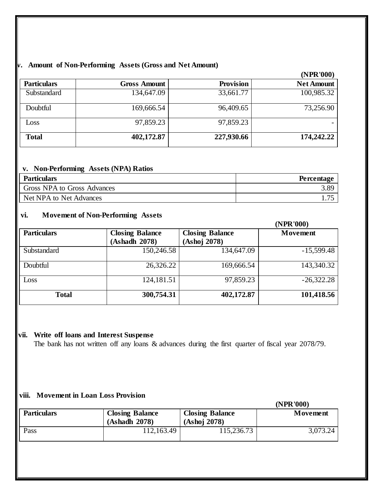#### **iv. Amount of Non-Performing Assets (Gross and Net Amount)**

|                    |                     |                  | (NPR'000)         |
|--------------------|---------------------|------------------|-------------------|
| <b>Particulars</b> | <b>Gross Amount</b> | <b>Provision</b> | <b>Net Amount</b> |
| Substandard        | 134,647.09          | 33,661.77        | 100,985.32        |
| Doubtful           | 169,666.54          | 96,409.65        | 73,256.90         |
| Loss               | 97,859.23           | 97,859.23        |                   |
| <b>Total</b>       | 402,172.87          | 227,930.66       | 174,242.22        |

#### **v. Non-Performing Assets (NPA) Ratios**

| <b>Particulars</b>          | Percentage |
|-----------------------------|------------|
| Gross NPA to Gross Advances | 3.89       |
| Net NPA to Net Advances     | 75         |

#### **vi. Movement of Non-Performing Assets**

|                    |                                         |                                        | (NPR'000)    |
|--------------------|-----------------------------------------|----------------------------------------|--------------|
| <b>Particulars</b> | <b>Closing Balance</b><br>(Ashadh 2078) | <b>Closing Balance</b><br>(Ashoj 2078) | Movement     |
| Substandard        | 150,246.58                              | 134,647.09                             | $-15,599.48$ |
| Doubtful           | 26,326.22                               | 169,666.54                             | 143,340.32   |
| Loss               | 124,181.51                              | 97,859.23                              | $-26,322.28$ |
| <b>Total</b>       | 300,754.31                              | 402,172.87                             | 101,418.56   |

#### **vii. Write off loans and Interest Suspense**

The bank has not written off any loans & advances during the first quarter of fiscal year 2078/79.

#### **viii. Movement in Loan Loss Provision**

|                    |                        |                        | (NPR'000) |
|--------------------|------------------------|------------------------|-----------|
| <b>Particulars</b> | <b>Closing Balance</b> | <b>Closing Balance</b> | Movement  |
|                    | (Ashadh 2078)          | (Ashoj 2078)           |           |
| Pass               | 112,163.49             | 115,236.73             | 3,073.24  |
|                    |                        |                        |           |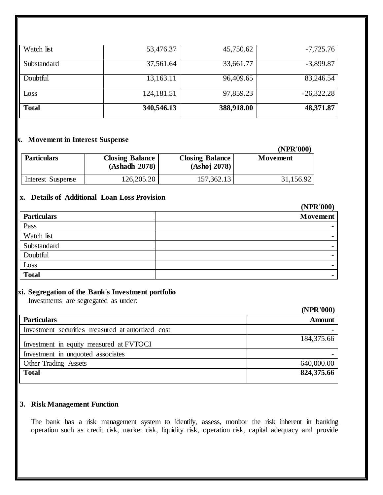| Watch list   | 53,476.37  | 45,750.62  | $-7,725.76$  |
|--------------|------------|------------|--------------|
| Substandard  | 37,561.64  | 33,661.77  | $-3,899.87$  |
| Doubtful     | 13,163.11  | 96,409.65  | 83,246.54    |
| Loss         | 124,181.51 | 97,859.23  | $-26,322.28$ |
| <b>Total</b> | 340,546.13 | 388,918.00 | 48,371.87    |

## **ix. Movement in Interest Suspense**

|                    |                                         |                                        | (NPR'000) |
|--------------------|-----------------------------------------|----------------------------------------|-----------|
| <b>Particulars</b> | <b>Closing Balance</b><br>(Ashadh 2078) | <b>Closing Balance</b><br>(Ashoj 2078) | Movement  |
| Interest Suspense  | 126,205.20                              | 157,362.13                             | 31,156.92 |

#### **x. Details of Additional Loan Loss Provision**

|                    | (NPK 000)       |
|--------------------|-----------------|
| <b>Particulars</b> | <b>Movement</b> |
| Pass               |                 |
| Watch list         |                 |
| Substandard        |                 |
| Doubtful           |                 |
| Loss               |                 |
| <b>Total</b>       |                 |

#### **xi. Segregation of the Bank's Investment portfolio**

Investments are segregated as under:

|                                                  | (NPR'000)     |
|--------------------------------------------------|---------------|
| <b>Particulars</b>                               | <b>Amount</b> |
| Investment securities measured at amortized cost |               |
| Investment in equity measured at FVTOCI          | 184,375.66    |
| Investment in unquoted associates                |               |
| Other Trading Assets                             | 640,000.00    |
| <b>Total</b>                                     | 824,375.66    |

# **3. Risk Management Function**

The bank has a risk management system to identify, assess, monitor the risk inherent in banking operation such as credit risk, market risk, liquidity risk, operation risk, capital adequacy and provide

#### $(1000)$